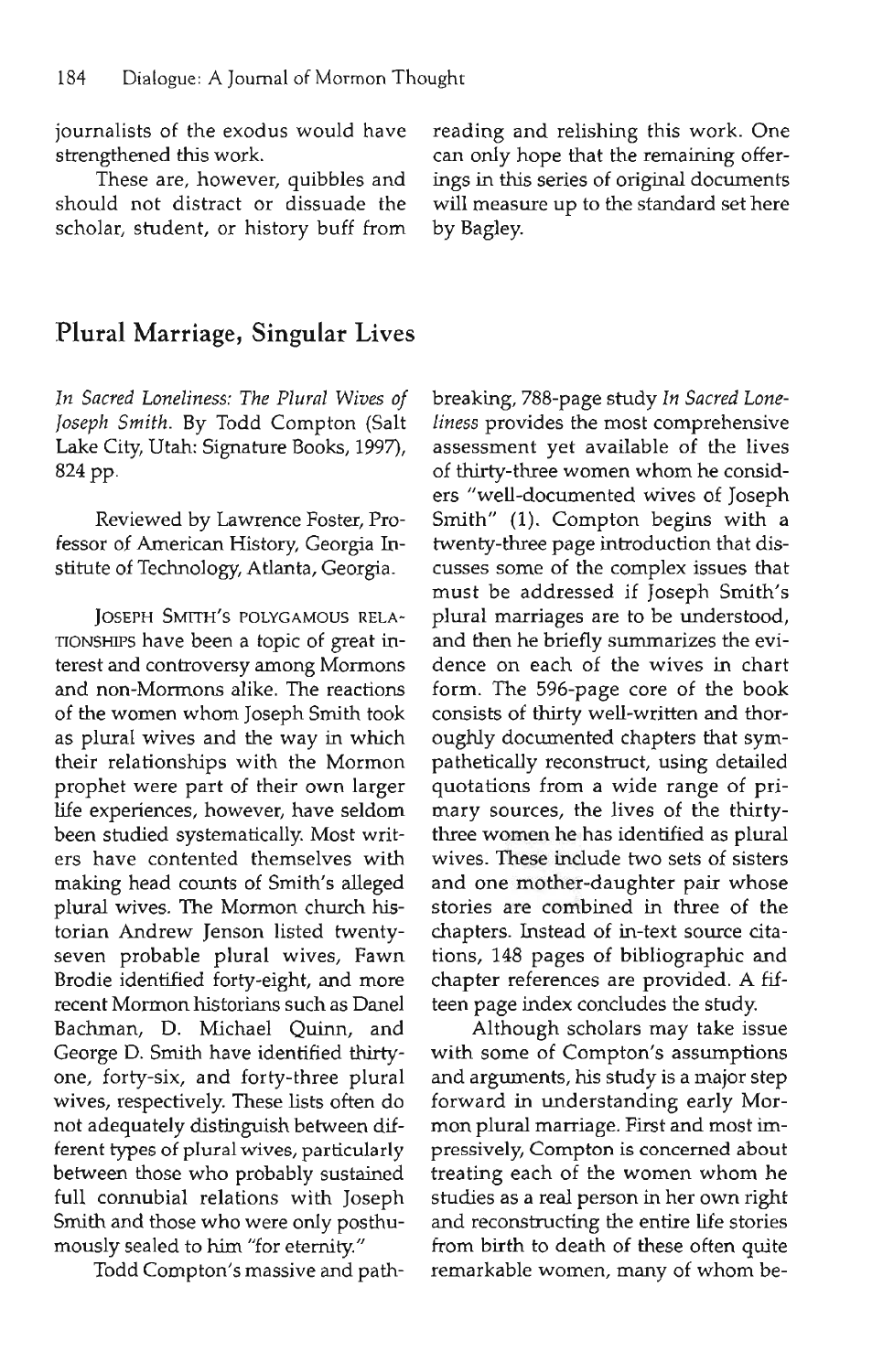journalists of the exodus would have strengthened this work.

These are, however, quibbles and should not distract or dissuade the scholar, student, or history buff from reading and relishing this work. One can only hope that the remaining offerings in this series of original documents will measure up to the standard set here by Bagley.

## Plural Marriage, Singular Lives

*In Sacred Loneliness: The Plural Wives of Joseph Smith.* By Todd Compton (Salt Lake City, Utah: Signature Books, 1997), 824 pp.

Reviewed by Lawrence Foster, Professor of American History, Georgia Institute of Technology, Atlanta, Georgia.

JOSEPH SMITH'S POLYGAMOUS RELA-TIONSHIPS have been a topic of great interest and controversy among Mormons and non-Mormons alike. The reactions of the women whom Joseph Smith took as plural wives and the way in which their relationships with the Mormon prophet were part of their own larger life experiences, however, have seldom been studied systematically. Most writers have contented themselves with making head counts of Smith's alleged plural wives. The Mormon church historian Andrew Jenson listed twentyseven probable plural wives, Fawn Brodie identified forty-eight, and more recent Mormon historians such as Danel Bachman, D. Michael Quinn, and George D. Smith have identified thirtyone, forty-six, and forty-three plural wives, respectively. These lists often do not adequately distinguish between different types of plural wives, particularly between those who probably sustained full connubial relations with Joseph Smith and those who were only posthumously sealed to him "for eternity."

Todd Compton's massive and path-

breaking, 788-page study *In Sacred Loneliness* provides the most comprehensive assessment yet available of the lives of thirty-three women whom he considers "well-documented wives of Joseph Smith" (1). Compton begins with a twenty-three page introduction that discusses some of the complex issues that must be addressed if Joseph Smith's plural marriages are to be understood, and then he briefly summarizes the evidence on each of the wives in chart form. The 596-page core of the book consists of thirty well-written and thoroughly documented chapters that sympathetically reconstruct, using detailed quotations from a wide range of primary sources, the lives of the thirtythree women he has identified as plural wives. These include two sets of sisters and one mother-daughter pair whose stories are combined in three of the chapters. Instead of in-text source citations, 148 pages of bibliographic and chapter references are provided. A fifteen page index concludes the study.

Although scholars may take issue with some of Compton's assumptions and arguments, his study is a major step forward in understanding early Mormon plural marriage. First and most impressively, Compton is concerned about treating each of the women whom he studies as a real person in her own right and reconstructing the entire life stories from birth to death of these often quite remarkable women, many of whom be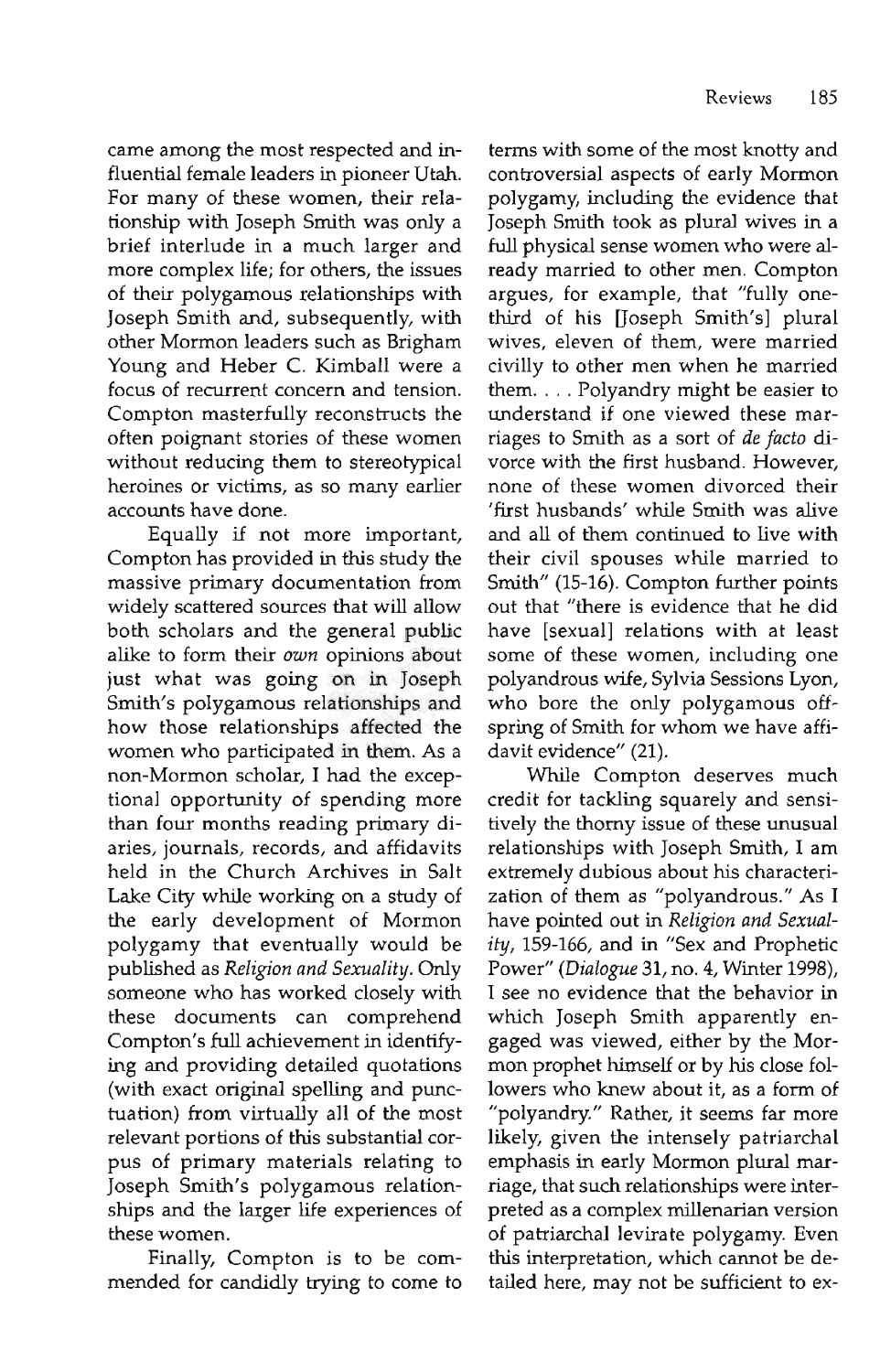came among the most respected and influential female leaders in pioneer Utah. For many of these women, their relationship with Joseph Smith was only a brief interlude in a much larger and more complex life; for others, the issues of their polygamous relationships with Joseph Smith and, subsequently, with other Mormon leaders such as Brigham Young and Heber C. Kimball were a focus of recurrent concern and tension. Compton masterfully reconstructs the often poignant stories of these women without reducing them to stereotypical heroines or victims, as so many earlier accounts have done.

Equally if not more important, Compton has provided in this study the massive primary documentation from widely scattered sources that will allow both scholars and the general public alike to form their *own* opinions about just what was going on in Joseph Smith's polygamous relationships and how those relationships affected the women who participated in them. As a non-Mormon scholar, I had the exceptional opportunity of spending more than four months reading primary diaries, journals, records, and affidavits held in the Church Archives in Salt Lake City while working on a study of the early development of Mormon polygamy that eventually would be published as *Religion and Sexuality.* Only someone who has worked closely with these documents can comprehend Compton's full achievement in identifying and providing detailed quotations (with exact original spelling and punctuation) from virtually all of the most relevant portions of this substantial corpus of primary materials relating to Joseph Smith's polygamous relationships and the larger life experiences of these women.

Finally, Compton is to be commended for candidly trying to come to terms with some of the most knotty and controversial aspects of early Mormon polygamy, including the evidence that Joseph Smith took as plural wives in a full physical sense women who were already married to other men. Compton argues, for example, that "fully onethird of his [Joseph Smith's] plural wives, eleven of them, were married civilly to other men when he married them. . . . Polyandry might be easier to understand if one viewed these marriages to Smith as a sort of *de facto* divorce with the first husband. However, none of these women divorced their 'first husbands' while Smith was alive and all of them continued to live with their civil spouses while married to Smith" (15-16). Compton further points out that "there is evidence that he did have [sexual] relations with at least some of these women, including one polyandrous wife, Sylvia Sessions Lyon, who bore the only polygamous offspring of Smith for whom we have affidavit evidence" (21).

While Compton deserves much credit for tackling squarely and sensitively the thorny issue of these unusual relationships with Joseph Smith, I am extremely dubious about his characterization of them as "polyandrous." As I have pointed out in *Religion and Sexuality,* 159-166, and in "Sex and Prophetic Power" *(Dialogue* 31, no. 4, Winter 1998), I see no evidence that the behavior in which Joseph Smith apparently engaged was viewed, either by the Mormon prophet himself or by his close followers who knew about it, as a form of "polyandry." Rather, it seems far more likely, given the intensely patriarchal emphasis in early Mormon plural marriage, that such relationships were interpreted as a complex millenarian version of patriarchal levirate polygamy. Even this interpretation, which cannot be detailed here, may not be sufficient to ex